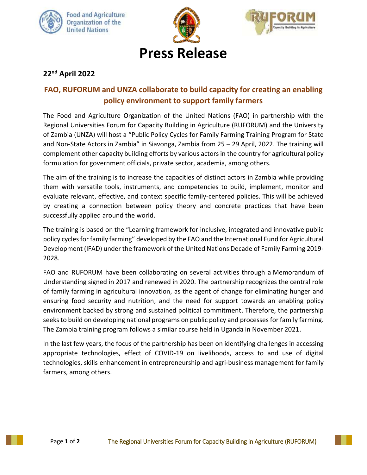





# **Press Release**

# **22 nd April 2022**

## **FAO, RUFORUM and UNZA collaborate to build capacity for creating an enabling policy environment to support family farmers**

The Food and Agriculture Organization of the United Nations (FAO) in partnership with the Regional Universities Forum for Capacity Building in Agriculture (RUFORUM) and the University of Zambia (UNZA) will host a "Public Policy Cycles for Family Farming Training Program for State and Non-State Actors in Zambia" in Siavonga, Zambia from 25 – 29 April, 2022. The training will complement other capacity building efforts by various actors in the country for agricultural policy formulation for government officials, private sector, academia, among others.

The aim of the training is to increase the capacities of distinct actors in Zambia while providing them with versatile tools, instruments, and competencies to build, implement, monitor and evaluate relevant, effective, and context specific family-centered policies. This will be achieved by creating a connection between policy theory and concrete practices that have been successfully applied around the world.

The training is based on the "Learning framework for inclusive, integrated and innovative public policy cycles for family farming" developed by the FAO and the International Fund for Agricultural Development (IFAD) under the framework of the United Nations Decade of Family Farming 2019- 2028.

FAO and RUFORUM have been collaborating on several activities through a Memorandum of Understanding signed in 2017 and renewed in 2020. The partnership recognizes the central role of family farming in agricultural innovation, as the agent of change for eliminating hunger and ensuring food security and nutrition, and the need for support towards an enabling policy environment backed by strong and sustained political commitment. Therefore, the partnership seeks to build on developing national programs on public policy and processes for family farming. The Zambia training program follows a similar course held in Uganda in November 2021.

In the last few years, the focus of the partnership has been on identifying challenges in accessing appropriate technologies, effect of COVID-19 on livelihoods, access to and use of digital technologies, skills enhancement in entrepreneurship and agri-business management for family farmers, among others.